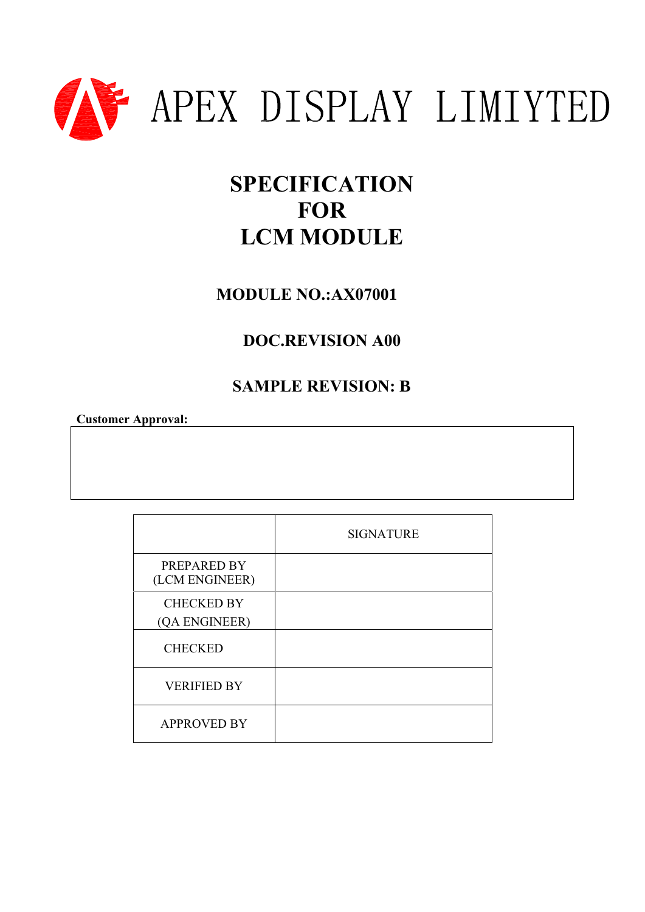

## **SPECIFICATION FOR LCM MODULE**

**MODULE NO.:AX07001**

### **DOC.REVISION A00**

### **SAMPLE REVISION: B**

**Customer Approval:** 

|                                    | <b>SIGNATURE</b> |
|------------------------------------|------------------|
| PREPARED BY<br>(LCM ENGINEER)      |                  |
| <b>CHECKED BY</b><br>(QA ENGINEER) |                  |
| <b>CHECKED</b>                     |                  |
| <b>VERIFIED BY</b>                 |                  |
| <b>APPROVED BY</b>                 |                  |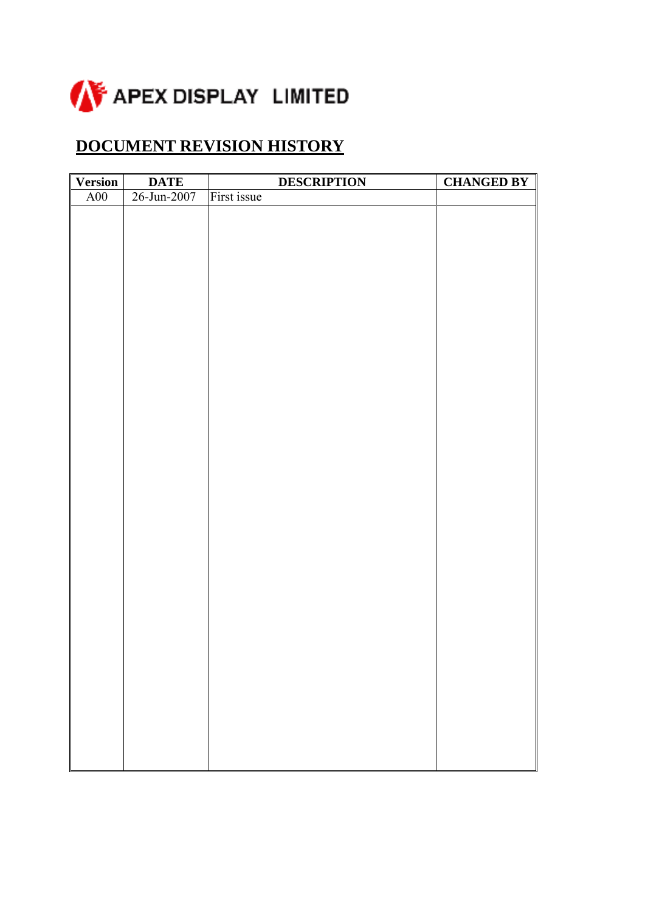

### **DOCUMENT REVISION HISTORY**

| <b>Version</b> | <b>DATE</b> | <b>DESCRIPTION</b> | <b>CHANGED BY</b> |
|----------------|-------------|--------------------|-------------------|
| $\rm A00$      | 26-Jun-2007 | First issue        |                   |
|                |             |                    |                   |
|                |             |                    |                   |
|                |             |                    |                   |
|                |             |                    |                   |
|                |             |                    |                   |
|                |             |                    |                   |
|                |             |                    |                   |
|                |             |                    |                   |
|                |             |                    |                   |
|                |             |                    |                   |
|                |             |                    |                   |
|                |             |                    |                   |
|                |             |                    |                   |
|                |             |                    |                   |
|                |             |                    |                   |
|                |             |                    |                   |
|                |             |                    |                   |
|                |             |                    |                   |
|                |             |                    |                   |
|                |             |                    |                   |
|                |             |                    |                   |
|                |             |                    |                   |
|                |             |                    |                   |
|                |             |                    |                   |
|                |             |                    |                   |
|                |             |                    |                   |
|                |             |                    |                   |
|                |             |                    |                   |
|                |             |                    |                   |
|                |             |                    |                   |
|                |             |                    |                   |
|                |             |                    |                   |
|                |             |                    |                   |
|                |             |                    |                   |
|                |             |                    |                   |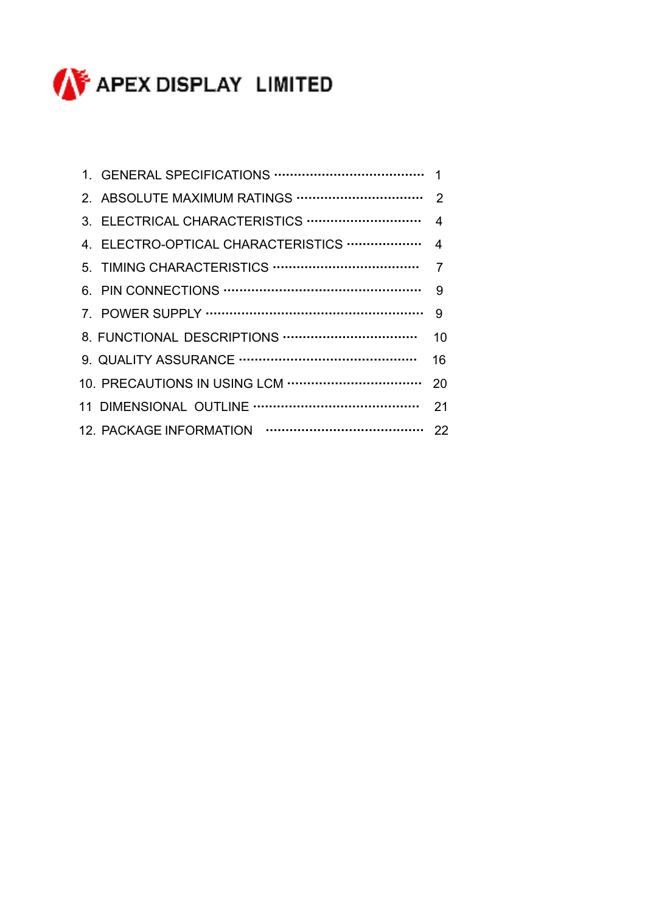

|  | 10 |
|--|----|
|  | 16 |
|  |    |
|  |    |
|  |    |
|  |    |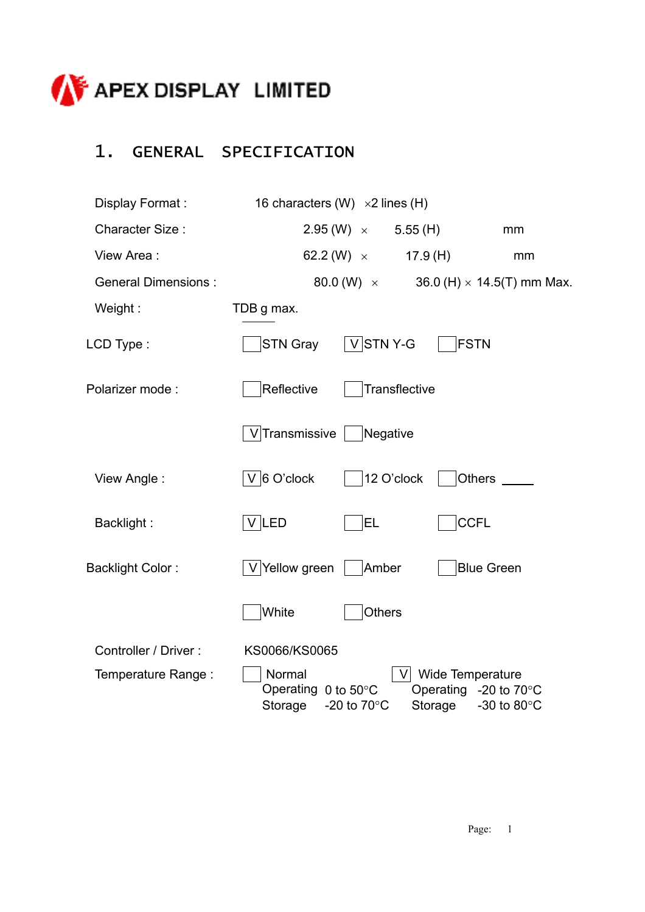

### 1. GENERAL SPECIFICATION

| Display Format:                            | 16 characters (W) $\times 2$ lines (H)                                                                                                                                          |
|--------------------------------------------|---------------------------------------------------------------------------------------------------------------------------------------------------------------------------------|
| <b>Character Size:</b>                     | $2.95 \, (W) \; \times$<br>5.55(H)<br>mm                                                                                                                                        |
| View Area:                                 | 62.2 (W) $\times$<br>17.9(H)<br>mm                                                                                                                                              |
| <b>General Dimensions:</b>                 | 80.0 (W) $\times$<br>36.0 (H) $\times$ 14.5(T) mm Max.                                                                                                                          |
| Weight:                                    | TDB g max.                                                                                                                                                                      |
| LCD Type:                                  | $V$ STNY-G<br><b>FSTN</b><br><b>STN Gray</b>                                                                                                                                    |
| Polarizer mode:                            | Reflective<br>Transflective                                                                                                                                                     |
|                                            | V Transmissive<br>Negative                                                                                                                                                      |
| View Angle:                                | $ V $ 6 O'clock<br>12 O'clock<br>Others                                                                                                                                         |
| Backlight:                                 | $V$ LED<br><b>CCFL</b><br><b>EL</b>                                                                                                                                             |
| <b>Backlight Color:</b>                    | V Yellow green<br>Amber<br><b>Blue Green</b>                                                                                                                                    |
|                                            | White<br><b>Others</b>                                                                                                                                                          |
| Controller / Driver:<br>Temperature Range: | KS0066/KS0065<br>Normal<br>V Wide Temperature<br>Operating 0 to 50°C<br>Operating -20 to $70^{\circ}$ C<br>Storage<br>-20 to $70^{\circ}$ C<br>Storage<br>-30 to 80 $\degree$ C |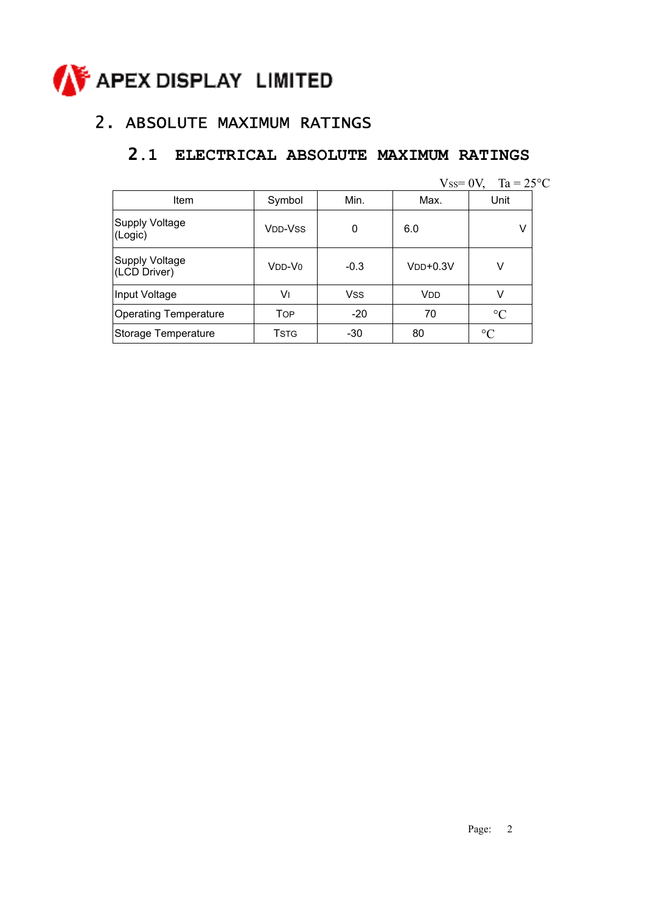# **CONFIDENTIAL APEX DISPLAY LIMITED**

### 2. ABSOLUTE MAXIMUM RATINGS

### **2.1 ELECTRICAL ABSOLUTE MAXIMUM RATINGS**

|  | $V$ ss= 0 $V$ , |  |  | $Ta = 25^{\circ}C$ |
|--|-----------------|--|--|--------------------|
|--|-----------------|--|--|--------------------|

| Item                           | Symbol                           | Min.       | Max.                      | Unit            |
|--------------------------------|----------------------------------|------------|---------------------------|-----------------|
| Supply Voltage<br>(Logic)      | V <sub>DD</sub> -V <sub>SS</sub> | 0          | 6.0                       | V               |
| Supply Voltage<br>(LCD Driver) | $VDD-V0$                         | $-0.3$     | $V$ <sub>DD</sub> $+0.3V$ | v               |
| Input Voltage                  | V١                               | <b>Vss</b> | <b>V<sub>DD</sub></b>     | v               |
| <b>Operating Temperature</b>   | <b>TOP</b>                       | $-20$      | 70                        | $\rm ^{\circ}C$ |
| Storage Temperature            | Tstg                             | $-30$      | 80                        | $\circ$ C       |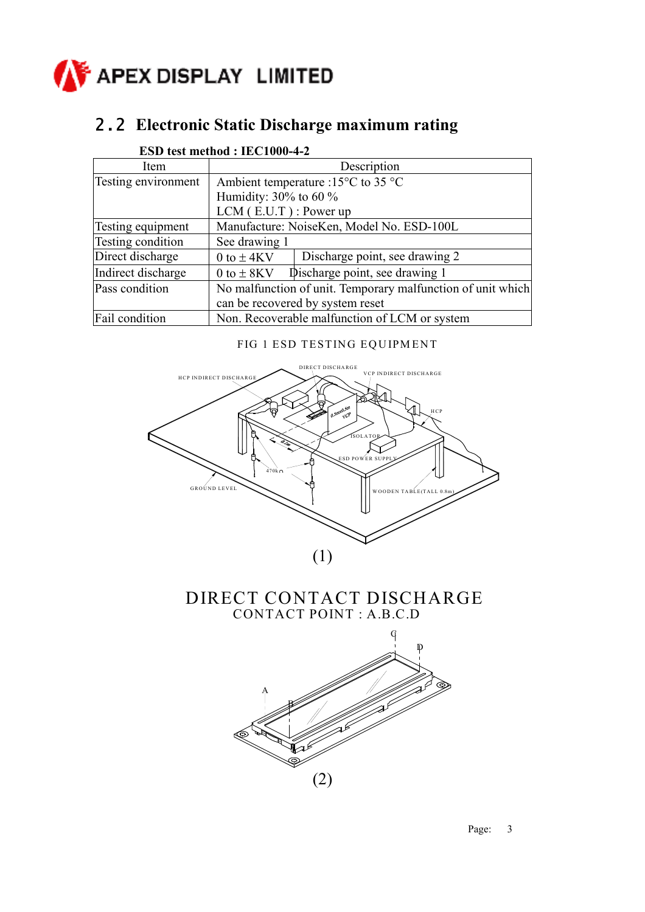

### 2.2 **Electronic Static Discharge maximum rating**

|                            | вэр км шмноч . нестоле <del>т</del>                   |                                                             |  |  |
|----------------------------|-------------------------------------------------------|-------------------------------------------------------------|--|--|
| Item                       |                                                       | Description                                                 |  |  |
| <b>Testing environment</b> | Ambient temperature :15 $\rm ^{o}C$ to 35 $\rm ^{o}C$ |                                                             |  |  |
|                            | Humidity: $30\%$ to 60 %                              |                                                             |  |  |
|                            | $LCM$ (E.U.T): Power up                               |                                                             |  |  |
| Testing equipment          |                                                       | Manufacture: NoiseKen, Model No. ESD-100L                   |  |  |
| Testing condition          | See drawing 1                                         |                                                             |  |  |
| Direct discharge           | 0 to $\pm$ 4KV                                        | Discharge point, see drawing 2                              |  |  |
| Indirect discharge         | 0 to $\pm$ 8KV                                        | Discharge point, see drawing 1                              |  |  |
| Pass condition             |                                                       | No malfunction of unit. Temporary malfunction of unit which |  |  |
|                            |                                                       | can be recovered by system reset                            |  |  |
| Fail condition             |                                                       | Non. Recoverable malfunction of LCM or system               |  |  |

#### **ESD test method : IEC1000-4-2**

#### FIG 1 ESD TESTING EQUIPMENT



#### DIRECT CONTACT DISCHARGE CONTACT POINT : A.B.C.D



Page: 3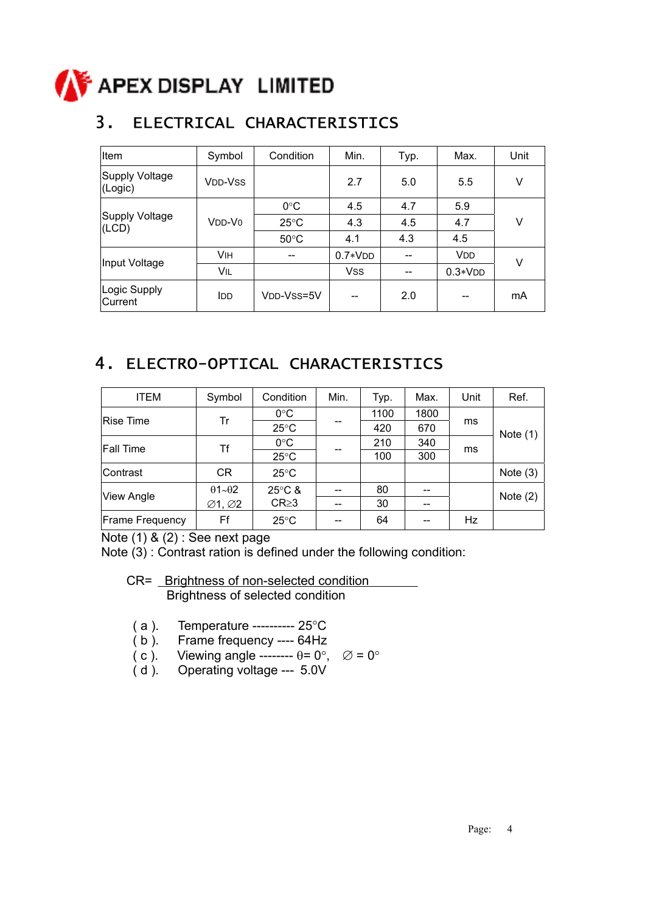

### 3. ELECTRICAL CHARACTERISTICS

| Item                             | Symbol                          | Condition                             | Min.       | Typ. | Max.                  | Unit |
|----------------------------------|---------------------------------|---------------------------------------|------------|------|-----------------------|------|
| <b>Supply Voltage</b><br>(Logic) | <b>VDD-VSS</b>                  |                                       | 2.7        | 5.0  | 5.5                   | ٧    |
| Supply Voltage<br>(LCD)          | V <sub>DD</sub> -V <sub>0</sub> | $0^{\circ}$ C                         | 4.5        | 4.7  | 5.9                   | ٧    |
|                                  |                                 | $25^{\circ}$ C                        | 4.3        | 4.5  | 4.7                   |      |
|                                  |                                 | $50^{\circ}$ C                        | 4.1        | 4.3  | 4.5                   |      |
| Input Voltage                    | VIH                             | $\hspace{0.05cm}$ – $\hspace{0.05cm}$ | $0.7*VDD$  |      | <b>V<sub>DD</sub></b> | V    |
|                                  | VIL                             |                                       | <b>VSS</b> | --   | $0.3*VDD$             |      |
| Logic Supply<br>Current          | <b>IDD</b>                      | VDD-VSS=5V                            |            | 2.0  |                       | mA   |

### 4. ELECTRO-OPTICAL CHARACTERISTICS

| <b>ITEM</b>            | Symbol                           | Condition        | Min. | Typ. | Max. | Unit      | Ref.       |
|------------------------|----------------------------------|------------------|------|------|------|-----------|------------|
|                        |                                  | $0^{\circ}$ C    |      | 1100 | 1800 |           |            |
| Rise Time              | Tr                               | $25^{\circ}$ C   |      | 420  | 670  | ms        | Note $(1)$ |
| <b>Fall Time</b>       | Τf                               | $0^{\circ}$ C    |      | 210  | 340  | ms        |            |
|                        | $25^{\circ}$ C                   |                  | 100  | 300  |      |           |            |
| Contrast               | <b>CR</b>                        | $25^{\circ}$ C   |      |      |      |           | Note $(3)$ |
| <b>View Angle</b>      | $\theta$ 1~ $\theta$ 2           | $25^{\circ}$ C & |      | 80   |      |           | Note $(2)$ |
|                        | $\varnothing$ 1, $\varnothing$ 2 | $CR \geq 3$      |      | 30   |      |           |            |
| <b>Frame Frequency</b> | Ff                               | $25^{\circ}$ C   |      | 64   |      | <b>Hz</b> |            |

Note (1) & (2) : See next page

Note (3) : Contrast ration is defined under the following condition:

- CR= Brightness of non-selected condition Brightness of selected condition
- ( a ). Temperature ---------- 25°C
- ( b ). Frame frequency ---- 64Hz
- ( c ). Viewing angle --------  $\theta = 0^{\circ}$ ,  $\varnothing = 0^{\circ}$
- ( d ). Operating voltage --- 5.0V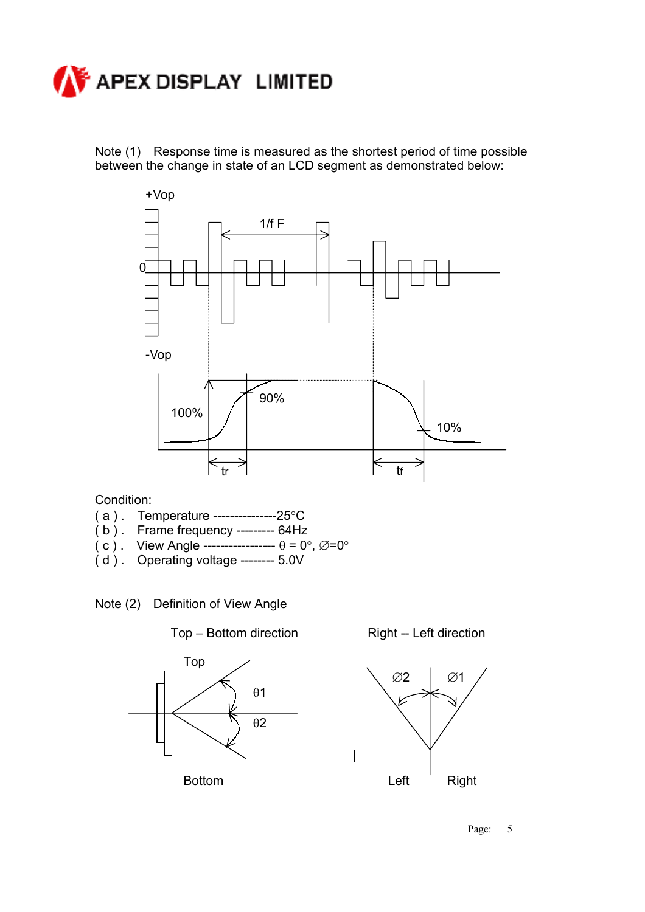

Note (1) Response time is measured as the shortest period of time possible between the change in state of an LCD segment as demonstrated below:



Condition:

- ( a ) . Temperature ---------------25°C
- ( b ) . Frame frequency --------- 64Hz
- ( c ) . View Angle -----------------  $\theta = 0^{\circ}, \varnothing = 0^{\circ}$
- ( d ) . Operating voltage -------- 5.0V







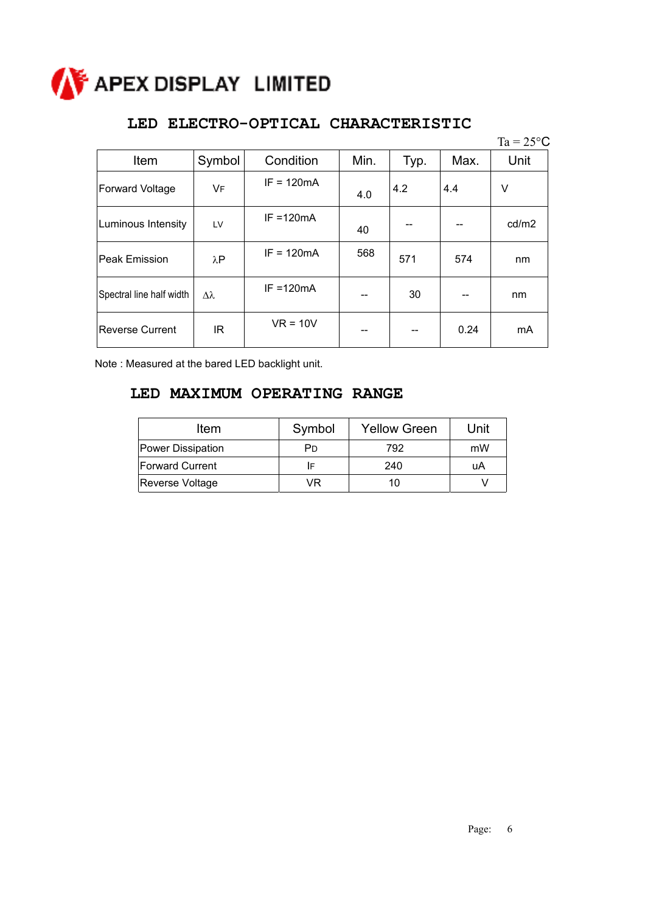

#### **LED ELECTRO-OPTICAL CHARACTERISTIC**

|                          |             |              |      |      |      | $Ta = 25^{\circ}C$ |
|--------------------------|-------------|--------------|------|------|------|--------------------|
| Item                     | Symbol      | Condition    | Min. | Typ. | Max. | Unit               |
| Forward Voltage          | VF          | $IF = 120mA$ | 4.0  | 4.2  | 4.4  | V                  |
| Luminous Intensity       | LV          | $IF = 120mA$ | 40   |      |      | cd/m2              |
| Peak Emission            | $\lambda$ P | $IF = 120mA$ | 568  | 571  | 574  | nm                 |
| Spectral line half width | Δλ          | $IF = 120mA$ |      | 30   |      | nm                 |
| <b>Reverse Current</b>   | IR.         | $VR = 10V$   |      |      | 0.24 | mA                 |

Note : Measured at the bared LED backlight unit.

#### **LED MAXIMUM OPERATING RANGE**

| Item                   | Symbol | <b>Yellow Green</b> | Unit |
|------------------------|--------|---------------------|------|
| Power Dissipation      | Pn     | 792                 | mW   |
| <b>Forward Current</b> | IF     | 240                 | uA   |
| Reverse Voltage        | VR     | 10                  |      |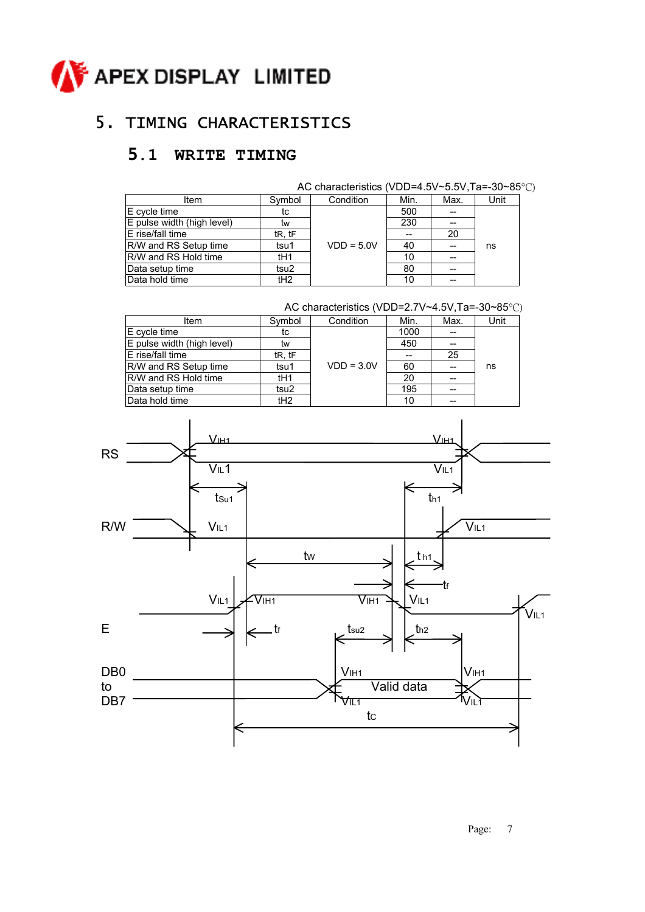

### 5. TIMING CHARACTERISTICS

### **5.1 WRITE TIMING**

|                            |        | AC characteristics (VDD=4.5V~5.5V, Ta=-30~85°C) |      |      |      |
|----------------------------|--------|-------------------------------------------------|------|------|------|
| Item                       | Symbol | Condition                                       | Min. | Max. | Unit |
| E cycle time               | tc     |                                                 | 500  |      |      |
| E pulse width (high level) | tw     |                                                 | 230  | --   |      |
| E rise/fall time           | tR, tF |                                                 |      | 20   |      |
| R/W and RS Setup time      | tsu1   | $VDD = 5.0V$                                    | 40   |      | ns   |
| R/W and RS Hold time       | tH1    |                                                 | 10   | --   |      |
| Data setup time            | tsu2   |                                                 | 80   | --   |      |
| Data hold time             | tH2    |                                                 | 10   | --   |      |

|                            |                 | AC characteristics (VDD=2.7V~4.5V, Ta=-30~85°C) |      |      |      |
|----------------------------|-----------------|-------------------------------------------------|------|------|------|
| Item                       | Symbol          | Condition                                       | Min. | Max. | Unit |
| E cycle time               | tc              |                                                 | 1000 |      |      |
| E pulse width (high level) | tw              |                                                 | 450  |      |      |
| E rise/fall time           | tR, tF          |                                                 |      | 25   |      |
| R/W and RS Setup time      | tsu1            | $VDD = 3.0V$                                    | 60   |      | ns   |
| R/W and RS Hold time       | tH <sub>1</sub> |                                                 | 20   |      |      |
| Data setup time            | tsu2            |                                                 | 195  | --   |      |
| Data hold time             | tH2             |                                                 | 10   |      |      |



Page: 7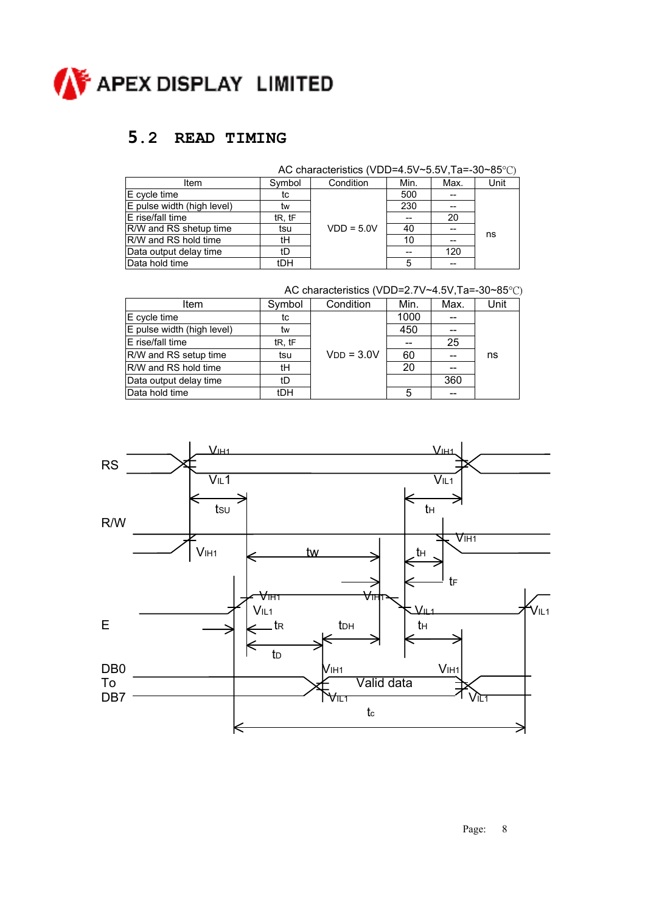

### **5.2 READ TIMING**

|                            |        | AC characteristics (VDD=4.5V~5.5V, Ta=-30~85°C) |      |      |      |
|----------------------------|--------|-------------------------------------------------|------|------|------|
| Item                       | Symbol | Condition                                       | Min. | Max. | Unit |
| E cycle time               | tc     |                                                 | 500  |      |      |
| E pulse width (high level) | tw     |                                                 | 230  |      |      |
| E rise/fall time           | tR, tF |                                                 |      | 20   |      |
| R/W and RS shetup time     | tsu    | $VDD = 5.0V$                                    | 40   |      |      |
| R/W and RS hold time       | tΗ     |                                                 | 10   |      | ns   |
| Data output delay time     | tD     |                                                 |      | 120  |      |
| Data hold time             | tDH    |                                                 |      |      |      |

| Symbol                          | Condition    | Min. | Max. | Unit                                            |
|---------------------------------|--------------|------|------|-------------------------------------------------|
| tc                              |              | 1000 |      |                                                 |
| tw                              |              | 450  | --   |                                                 |
| t <sub>R</sub> , t <sub>F</sub> |              |      | 25   |                                                 |
| tsu                             | $VDD = 3.0V$ | 60   | --   | ns                                              |
| tH                              |              | 20   | --   |                                                 |
| tD                              |              |      | 360  |                                                 |
| <b>tDH</b>                      |              | 5    | --   |                                                 |
|                                 |              |      |      | AC characteristics (VDD=2.7V~4.5V, Ta=-30~85°C) |

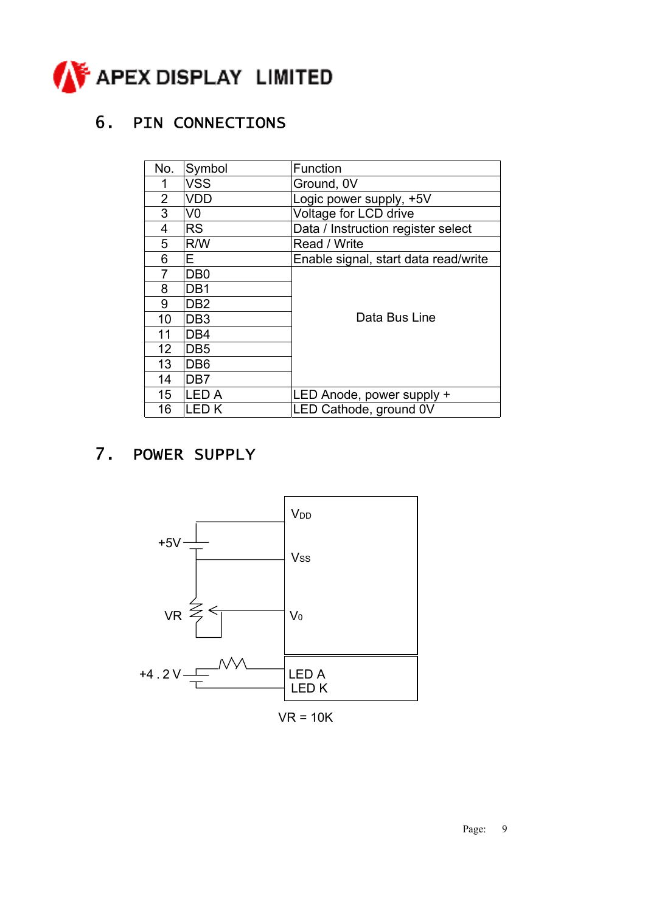

### 6. PIN CONNECTIONS

| No.              | Symbol          | Function                             |
|------------------|-----------------|--------------------------------------|
|                  | <b>VSS</b>      | Ground, 0V                           |
| $\overline{2}$   | <b>VDD</b>      | Logic power supply, +5V              |
| 3                | V <sub>0</sub>  | Voltage for LCD drive                |
| 4                | <b>RS</b>       | Data / Instruction register select   |
| 5                | R/W             | Read / Write                         |
| 6                | E               | Enable signal, start data read/write |
| 7                | DB <sub>0</sub> |                                      |
| 8                | DB <sub>1</sub> |                                      |
| 9                | DB <sub>2</sub> |                                      |
| 10               | DB <sub>3</sub> | Data Bus Line                        |
| 11               | DB <sub>4</sub> |                                      |
| 12 <sup>2</sup>  | DB <sub>5</sub> |                                      |
| 13               | DB <sub>6</sub> |                                      |
| 14               | DB <sub>7</sub> |                                      |
| 15 <sub>15</sub> | <b>LED A</b>    | LED Anode, power supply +            |
| 16               | <b>LEDK</b>     | LED Cathode, ground 0V               |

### 7. POWER SUPPLY



 $VR = 10K$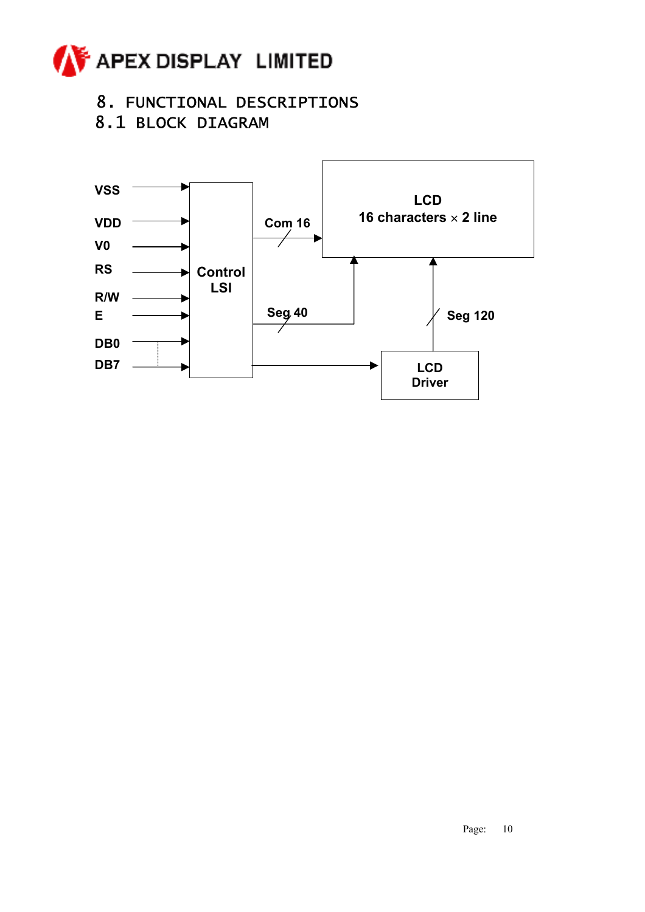

### 8. FUNCTIONAL DESCRIPTIONS

8.1 BLOCK DIAGRAM

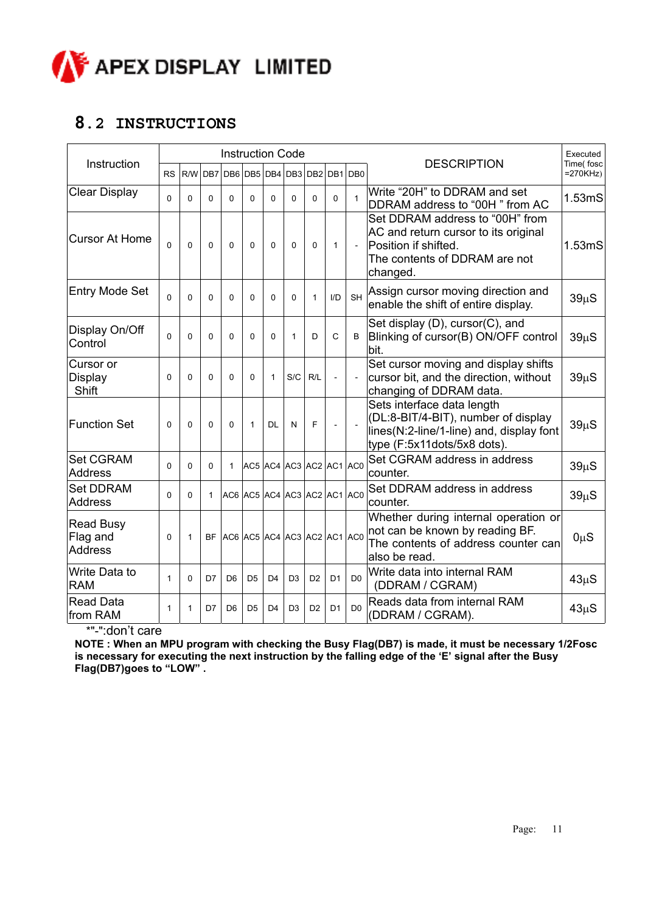

#### **8.2 INSTRUCTIONS**

|                                                |              |              |              | <b>Instruction Code</b>        |                |                |                |                |                |                 |                                                                                                                                              | Executed<br>Time(fosc |  |
|------------------------------------------------|--------------|--------------|--------------|--------------------------------|----------------|----------------|----------------|----------------|----------------|-----------------|----------------------------------------------------------------------------------------------------------------------------------------------|-----------------------|--|
| Instruction                                    | <b>RS</b>    | R/W          |              | DB7 DB6 DB5 DB4                |                |                |                |                |                | DB3 DB2 DB1 DB0 | <b>DESCRIPTION</b>                                                                                                                           | $=270KHz$             |  |
| <b>Clear Display</b>                           | $\Omega$     | $\Omega$     | $\Omega$     | $\Omega$                       | $\Omega$       | $\Omega$       | $\Omega$       | $\Omega$       | $\Omega$       | $\mathbf{1}$    | Write "20H" to DDRAM and set<br>DDRAM address to "00H" from AC                                                                               | 1.53 <sub>m</sub> S   |  |
| <b>Cursor At Home</b>                          | $\mathbf 0$  | $\mathbf 0$  | $\Omega$     | $\Omega$                       | $\Omega$       | $\mathbf{0}$   | 0              | 0              | $\mathbf{1}$   | $\blacksquare$  | Set DDRAM address to "00H" from<br>AC and return cursor to its original<br>Position if shifted.<br>The contents of DDRAM are not<br>changed. | 1.53mS                |  |
| <b>Entry Mode Set</b>                          | $\Omega$     | $\Omega$     | $\Omega$     | $\Omega$                       | 0              | $\mathbf 0$    | $\mathbf{0}$   | $\mathbf{1}$   | I/D            | <b>SH</b>       | Assign cursor moving direction and<br>enable the shift of entire display.                                                                    | $39\mu S$             |  |
| Display On/Off<br>Control                      | 0            | 0            | $\Omega$     | 0                              | 0              | 0              | 1              | D              | $\mathsf{C}$   | B               | Set display (D), cursor(C), and<br>Blinking of cursor(B) ON/OFF control<br>bit.                                                              | $39\mu S$             |  |
| Cursor or<br>Display<br>Shift                  | $\mathbf{0}$ | $\Omega$     | $\Omega$     | $\Omega$                       | $\Omega$       | 1              | S/C            | R/L            | $\overline{a}$ | $\blacksquare$  | Set cursor moving and display shifts<br>cursor bit, and the direction, without<br>changing of DDRAM data.                                    | $39\mu S$             |  |
| <b>Function Set</b>                            | 0            | $\mathbf{0}$ | $\Omega$     | $\Omega$                       | 1              | <b>DL</b>      | N              | F              |                |                 | Sets interface data length<br>(DL:8-BIT/4-BIT), number of display<br>lines(N:2-line/1-line) and, display font<br>type (F:5x11dots/5x8 dots). | $39\mu S$             |  |
| <b>Set CGRAM</b><br><b>Address</b>             | 0            | $\Omega$     | 0            | 1                              | AC5 AC4        |                | AC3 AC2 AC1    |                |                | AC <sub>0</sub> | Set CGRAM address in address<br>counter.                                                                                                     | $39\mu S$             |  |
| <b>Set DDRAM</b><br><b>Address</b>             | $\Omega$     | $\Omega$     | $\mathbf{1}$ | AC6 AC5 AC4 AC3 AC2 AC1 AC0    |                |                |                |                |                |                 | Set DDRAM address in address<br>counter.                                                                                                     | $39\mu S$             |  |
| <b>Read Busy</b><br>Flag and<br><b>Address</b> | 0            | $\mathbf{1}$ |              | BF AC6 AC5 AC4 AC3 AC2 AC1 AC0 |                |                |                |                |                |                 | Whether during internal operation or<br>not can be known by reading BF.<br>The contents of address counter can<br>also be read.              | $0\mu S$              |  |
| Write Data to<br><b>RAM</b>                    | $\mathbf{1}$ | $\Omega$     | D7           | D <sub>6</sub>                 | D <sub>5</sub> | D <sub>4</sub> | D <sub>3</sub> | D <sub>2</sub> | D <sub>1</sub> | D <sub>0</sub>  | Write data into internal RAM<br>(DDRAM / CGRAM)                                                                                              | $43\mu S$             |  |
| <b>Read Data</b><br>from RAM                   | 1            | $\mathbf{1}$ | D7           | D <sub>6</sub>                 | D <sub>5</sub> | D <sub>4</sub> | D <sub>3</sub> | D <sub>2</sub> | D <sub>1</sub> | D <sub>0</sub>  | Reads data from internal RAM<br>(DDRAM / CGRAM).                                                                                             | $43\mu S$             |  |

\*"-":don't care

**NOTE : When an MPU program with checking the Busy Flag(DB7) is made, it must be necessary 1/2Fosc is necessary for executing the next instruction by the falling edge of the 'E' signal after the Busy Flag(DB7)goes to "LOW" .**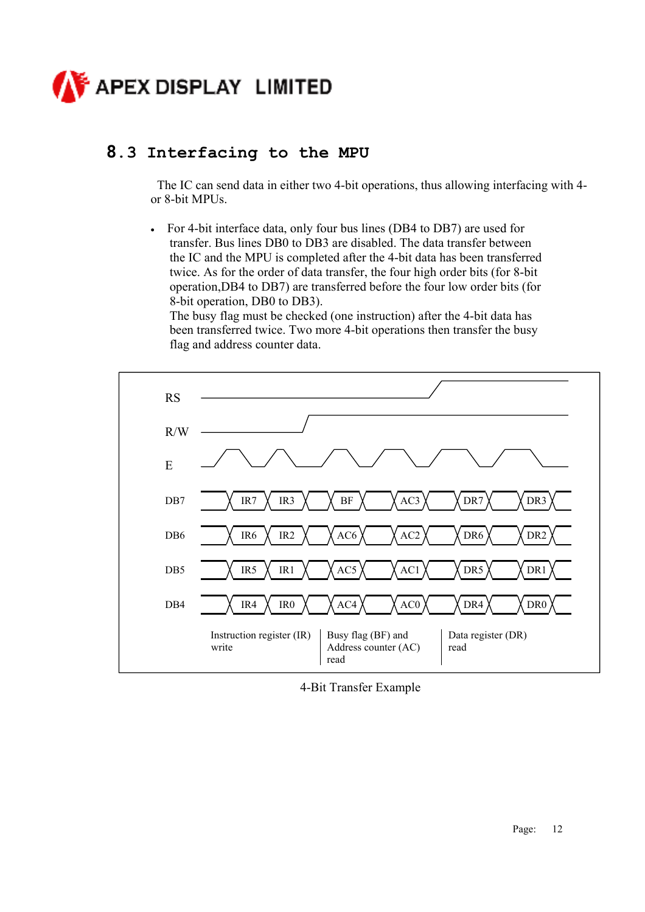

### **8.3 Interfacing to the MPU**

The IC can send data in either two 4-bit operations, thus allowing interfacing with 4 or 8-bit MPUs.

• For 4-bit interface data, only four bus lines (DB4 to DB7) are used for transfer. Bus lines DB0 to DB3 are disabled. The data transfer between the IC and the MPU is completed after the 4-bit data has been transferred twice. As for the order of data transfer, the four high order bits (for 8-bit operation,DB4 to DB7) are transferred before the four low order bits (for 8-bit operation, DB0 to DB3).

The busy flag must be checked (one instruction) after the 4-bit data has been transferred twice. Two more 4-bit operations then transfer the busy flag and address counter data.



4-Bit Transfer Example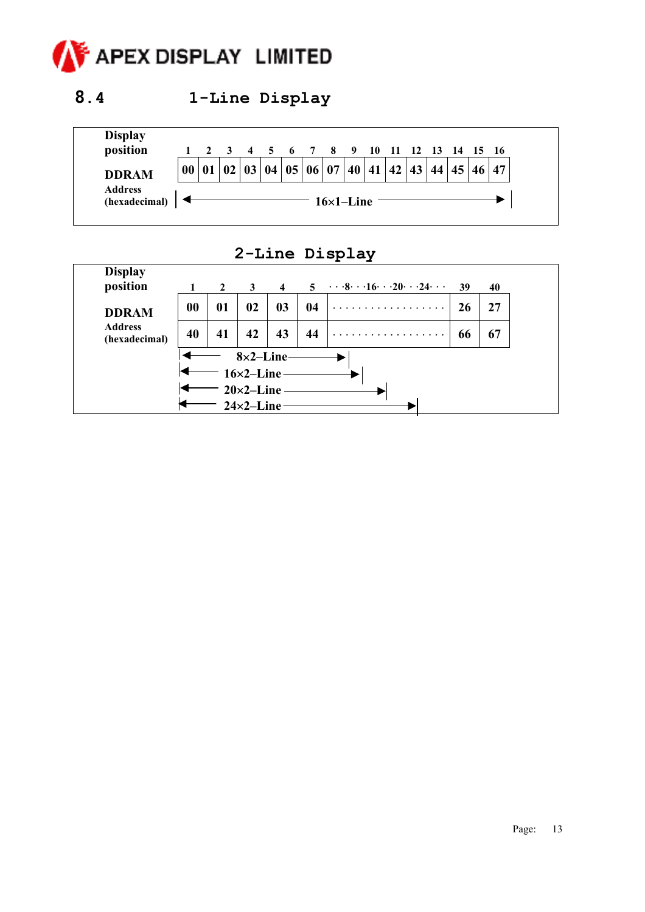

### **8.4 1-Line Display**



### **2-Line Display**

| <b>Display</b><br>position      |    | $\mathbf{2}$ | 3                                       | $\overline{4}$ | 5  | $\cdots$ 8. $\cdots$ 16. $\cdots$ 20. $\cdots$ 24. $\cdots$ | 39 | 40 |
|---------------------------------|----|--------------|-----------------------------------------|----------------|----|-------------------------------------------------------------|----|----|
| <b>DDRAM</b>                    | 00 | 01           | 02                                      | 03             | 04 | .                                                           | 26 | 27 |
| <b>Address</b><br>(hexadecimal) | 40 | 41           | 42                                      | 43             | 44 | .                                                           | 66 | 67 |
|                                 |    |              | $8\times2$ -Line-<br>$16\times2$ -Line- |                |    |                                                             |    |    |
|                                 |    |              | $20\times2$ -Line                       |                |    |                                                             |    |    |
|                                 |    |              | $24\times2$ -Line                       |                |    |                                                             |    |    |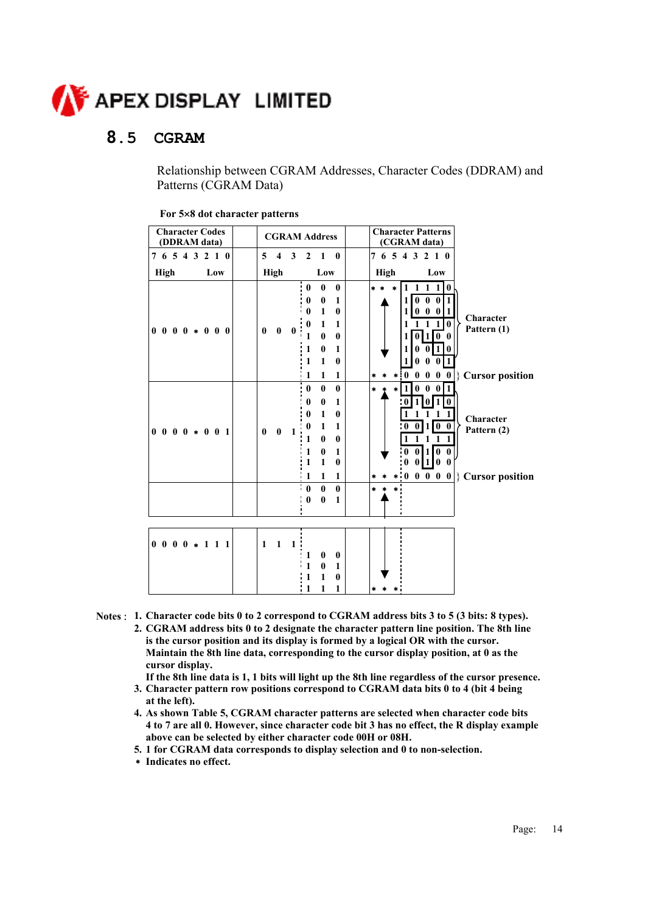

#### **8.5 CGRAM**

 Relationship between CGRAM Addresses, Character Codes (DDRAM) and Patterns (CGRAM Data)

| <b>Character Codes</b><br>(DDRAM data) |                                         | <b>CGRAM Address</b>                                                      | <b>Character Patterns</b><br>(CGRAM data)                                                 |
|----------------------------------------|-----------------------------------------|---------------------------------------------------------------------------|-------------------------------------------------------------------------------------------|
| 7 6 5 4 3 2 1 0                        | $\mathbf{5}$<br>$\overline{\mathbf{4}}$ | 3<br>$\overline{\mathbf{0}}$<br>$2 \quad 1$                               | 7 6 5 4 3 2 1 0                                                                           |
| High<br>Low                            | <b>High</b>                             | Low                                                                       | <b>High</b><br>Low                                                                        |
|                                        |                                         | $\bf{0}$<br>$\bf{0}$<br>$\bf{0}$                                          | 1 1 1 1<br>* * *<br>$\mathbf{0}$                                                          |
|                                        |                                         | $\bf{0}$<br>0<br>1                                                        | 110<br>$\bf{0}$<br>0                                                                      |
|                                        |                                         | $\mathbf{1}$<br>$\mathbf{0}$<br>$\mathbf{0}$<br>1<br>$\bf{0}$<br>1        | $0\quad 0$<br>$\bf{0}$<br>1<br><b>Character</b>                                           |
| $0\; 0\; 0\; 0\; * \; 0\; 0\; 0$       | $\bf{0}$<br>$\bf{0}$                    | $\bf{0}$<br>1<br>$\mathbf{0}$<br>0                                        | Pattern (1)<br>100                                                                        |
|                                        |                                         | 1<br>$\mathbf{0}$<br>$\mathbf{1}$                                         | 1<br>$\bf{0}$<br>011                                                                      |
|                                        |                                         | 1<br>$\mathbf{0}$<br>1                                                    | $\mathbf{0}$<br>0<br>0                                                                    |
|                                        |                                         | ' 1<br>$\mathbf{1}$<br>$\mathbf{1}$                                       | $0 \quad 0 \quad 0 \mid$ Cursor position<br>$\mathbf{0}$<br>$\bullet$<br>$\ast$<br>$\ast$ |
|                                        |                                         | $\bf{0}$<br>$\mathbf{0}$<br>$\bf{0}$                                      | $1 \t0 \t0 \t0$<br>$\ast$<br>$\star$                                                      |
|                                        |                                         | $\mathbf{1}$<br>$\mathbf{0}$<br>$\bf{0}$<br>1<br>$\bf{0}$<br>$\bf{0}$     | U<br>$\bf{0}$<br>$1 \; 1 \; 1$                                                            |
|                                        |                                         | $\mathbf{1}$<br>$\bf{0}$<br>1                                             | Character<br>$1 \vert 0 \vert 0$<br>$\bf{0}$<br>0                                         |
| $0\; 0\; 0\; 0\; *\; 0\; 0\; 1$        | $\bf{0}$<br>$\bf{0}$                    | 1<br>1<br>0<br>$\mathbf{0}$                                               | Pattern (2)<br>1 1 1 1                                                                    |
|                                        |                                         | $\bf{0}$<br>$\mathbf{1}$<br>1                                             | 110<br>$\mathbf{0}$<br>$\mathbf{0}$<br>$\bf{0}$                                           |
|                                        |                                         | 1<br>1<br>$\mathbf{0}$                                                    | $\bf{0}$<br>100<br>$\bf{0}$                                                               |
|                                        |                                         | $\mathbf{1}$<br>$\mathbf{1}$<br>1<br>$\cdot$ 0<br>$\bf{0}$<br>$\bf{0}$    | $\begin{bmatrix} 0 & 0 & 0 \end{bmatrix}$ Cursor position<br>$\bf{0}$<br>$\ast$           |
|                                        |                                         | $\cdot$ 0<br>$\bf{0}$<br>1                                                |                                                                                           |
|                                        |                                         |                                                                           |                                                                                           |
|                                        |                                         |                                                                           |                                                                                           |
| $0\; 0\; 0\; 0\; * \; 1\; 1\; 1$       | $\mathbf{1}$<br>$\mathbf{1}$            | 1                                                                         |                                                                                           |
|                                        |                                         | 1<br>$\bf{0}$<br>$\bf{0}$                                                 |                                                                                           |
|                                        |                                         | $\mathbf{1}$<br>$\bf{0}$<br>$\mathbf{1}$<br>$\mathbf{1}$<br>$\bf{0}$<br>1 |                                                                                           |
|                                        |                                         | 1<br>1<br>1                                                               | sk.                                                                                       |

|  | For 5×8 dot character patterns |  |
|--|--------------------------------|--|
|--|--------------------------------|--|

- **Notes** : **1. Character code bits 0 to 2 correspond to CGRAM address bits 3 to 5 (3 bits: 8 types).** 
	- **2. CGRAM address bits 0 to 2 designate the character pattern line position. The 8th line is the cursor position and its display is formed by a logical OR with the cursor. Maintain the 8th line data, corresponding to the cursor display position, at 0 as the cursor display.**

**If the 8th line data is 1, 1 bits will light up the 8th line regardless of the cursor presence.** 

- **3. Character pattern row positions correspond to CGRAM data bits 0 to 4 (bit 4 being at the left).**
- **4. As shown Table 5, CGRAM character patterns are selected when character code bits 4 to 7 are all 0. However, since character code bit 3 has no effect, the R display example above can be selected by either character code 00H or 08H.**
- **5. 1 for CGRAM data corresponds to display selection and 0 to non-selection.**
- ∗ **Indicates no effect.**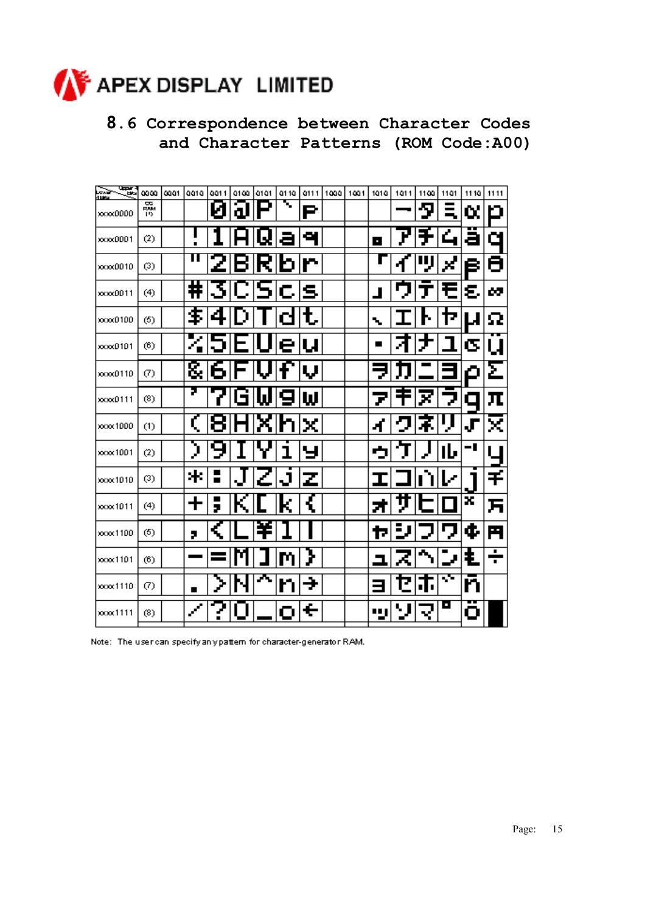

### **8.6 Correspondence between Character Codes and Character Patterns (ROM Code:A00)**

| ्ट्य<br>es de<br><b>HERE</b> | മായ 1             | 0001 | 0010                        |              | aa11 a1aa  a1a1 | Q1 1Q     |     | 0111 1000 | 1001 | 1010 | 1011 | 1100 | 1101 | 1110 | 1111 |
|------------------------------|-------------------|------|-----------------------------|--------------|-----------------|-----------|-----|-----------|------|------|------|------|------|------|------|
| 10000000                     | 蠠<br>19           |      |                             | Ŋ            | لە              | ъ,        | e   |           |      |      |      | Я    | Ξ    | α    |      |
| xxxx0001                     | (2)               |      |                             |              |                 |           | ÷,  |           |      | п    |      |      |      | a    | α    |
| 100000010                    | (3)               |      | п                           |              |                 | 21B R b r |     |           |      |      |      |      | ×    | в    | Θ    |
| 100000011                    | (4)               |      | ₩                           |              |                 | 3CScs     |     |           |      |      |      |      | 七    | ε    | œ    |
| 100000100                    | (5)               |      | \$                          | 4            |                 |           |     |           |      | ۰.   |      |      | Г    |      | Ω    |
| xxxx0101                     | (6)               |      |                             | וכ           | ⊨               |           | elu |           |      |      |      |      |      | σ    | u    |
| ххэх0110                     | (7)               |      |                             | 8161F        |                 |           | IJ  |           |      |      |      |      |      | ٥    | Σ    |
| ххход111                     | (8)               |      | 7.                          | $\mathbf{P}$ |                 | GW9w      |     |           |      |      |      |      | J    | О    | π    |
| xxxx1000                     | (1)               |      |                             | 8            |                 |           | l.  |           |      |      |      |      |      | .Г   | ×    |
| xxxx 1001                    | (2)               |      | €                           |              |                 |           |     |           |      | c    |      |      | ۱Ŀ   | - I  |      |
| 1010 000                     | (3)               |      | *                           | Ξ            |                 | ı         | z   |           |      |      |      |      |      |      | Ŧ    |
| 100001011                    | (4)               |      |                             | 5            |                 |           |     |           |      |      |      |      |      | x    | F    |
| xxxx1100                     | (5)               |      | 2                           |              |                 |           |     |           |      |      |      |      |      | đ.   | Ħ    |
| xxxx1101                     | (6)               |      |                             |              |                 |           |     |           |      |      |      |      |      | ŧ    | ÷    |
| 100001110                    | $\left( 7\right)$ |      | ▪                           |              |                 |           | ÷   |           |      |      |      | ٠.   | 53   | n    |      |
| 100001111                    | (8)               |      | $\mathcal{L}_{\mathcal{A}}$ |              |                 |           | е   |           |      | ш    |      |      | O    | ο    |      |

Note: The user can specify any pattern for character-generator RAM.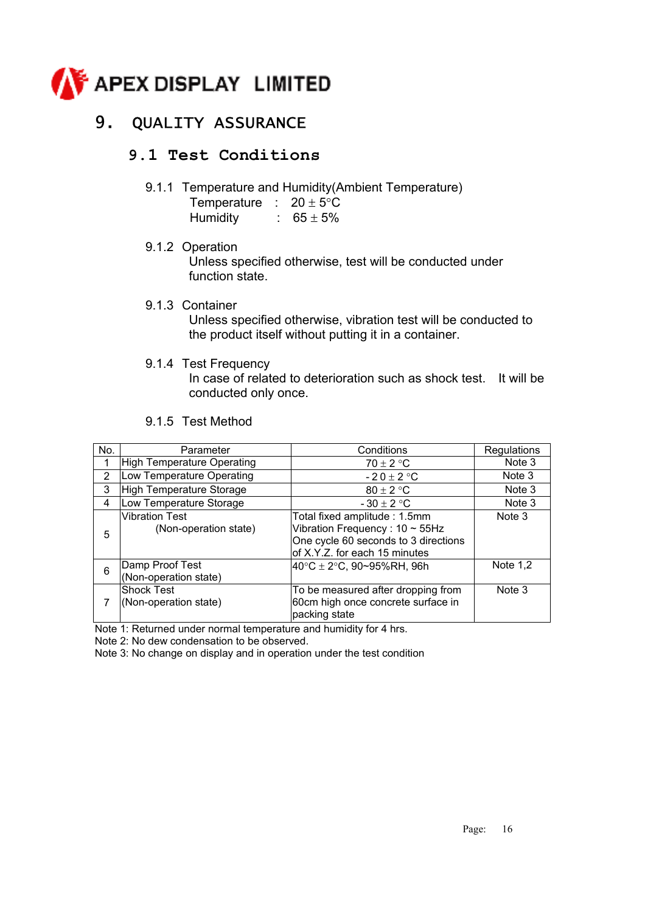

### 9. QUALITY ASSURANCE

#### **9.1 Test Conditions**

9.1.1 Temperature and Humidity(Ambient Temperature)

| Temperature     | $20 \pm 5^{\circ}$ C |
|-----------------|----------------------|
| <b>Humidity</b> | $65 \pm 5\%$         |

9.1.2 Operation

Unless specified otherwise, test will be conducted under function state.

9.1.3 Container

Unless specified otherwise, vibration test will be conducted to the product itself without putting it in a container.

9.1.4 Test Frequency

In case of related to deterioration such as shock test. It will be conducted only once.

9.1.5 Test Method

| No. | Parameter                                      | Conditions                                                                                                                                    | Regulations |
|-----|------------------------------------------------|-----------------------------------------------------------------------------------------------------------------------------------------------|-------------|
|     | High Temperature Operating                     | $70 \pm 2$ °C                                                                                                                                 | Note 3      |
| 2   | Low Temperature Operating                      | $-20 \pm 2$ °C                                                                                                                                | Note 3      |
| 3   | High Temperature Storage                       | $80 \pm 2$ °C                                                                                                                                 | Note 3      |
| 4   | Low Temperature Storage                        | $-30 \pm 2$ °C                                                                                                                                | Note 3      |
| 5   | <b>Vibration Test</b><br>(Non-operation state) | Total fixed amplitude: 1.5mm<br>Vibration Frequency: $10 \sim 55$ Hz<br>One cycle 60 seconds to 3 directions<br>of X.Y.Z. for each 15 minutes | Note 3      |
| 6   | Damp Proof Test<br>(Non-operation state)       | $40^{\circ}$ C ± 2 $^{\circ}$ C, 90~95%RH, 96h                                                                                                | Note $1,2$  |
| 7   | <b>Shock Test</b><br>(Non-operation state)     | To be measured after dropping from<br>60cm high once concrete surface in<br>packing state                                                     | Note 3      |

Note 1: Returned under normal temperature and humidity for 4 hrs.

Note 2: No dew condensation to be observed.

Note 3: No change on display and in operation under the test condition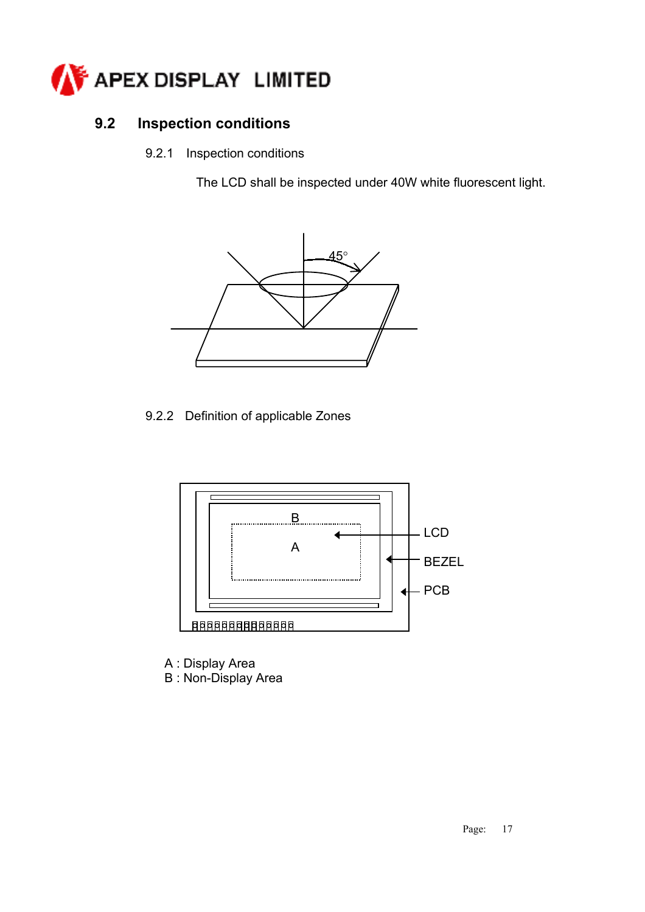

### **9.2 Inspection conditions**

9.2.1 Inspection conditions

The LCD shall be inspected under 40W white fluorescent light.



9.2.2 Definition of applicable Zones



A : Display Area

B : Non-Display Area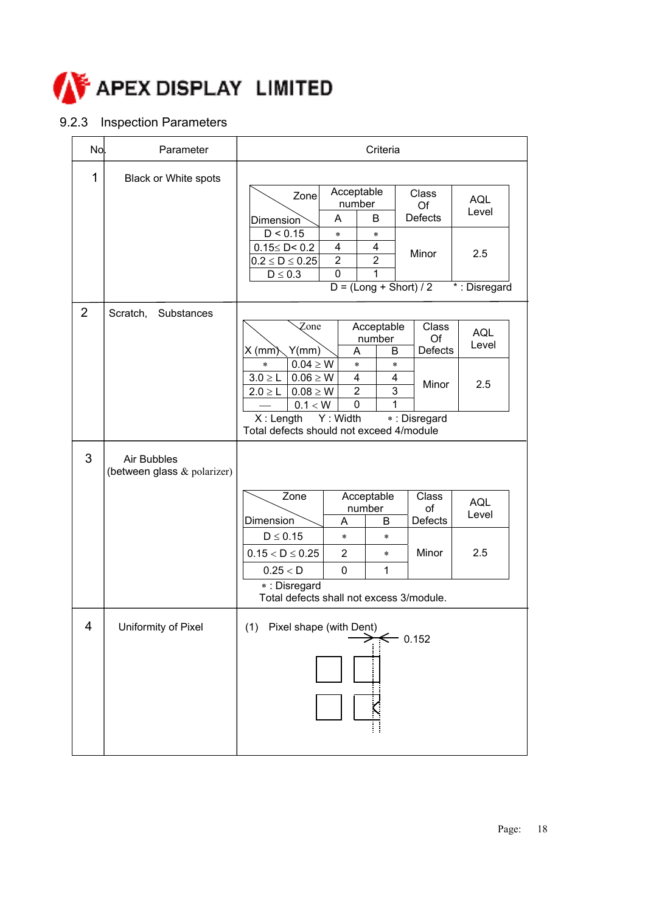

### 9.2.3 Inspection Parameters

| No.            | Parameter                                  | Criteria                                                                                                                                                                                                                                                                                                                                                                                                        |
|----------------|--------------------------------------------|-----------------------------------------------------------------------------------------------------------------------------------------------------------------------------------------------------------------------------------------------------------------------------------------------------------------------------------------------------------------------------------------------------------------|
| 1              | Black or White spots                       | Acceptable<br><b>Class</b><br>Zone<br><b>AQL</b><br>number<br>Of<br>Level<br><b>Defects</b><br>A<br>B<br>Dimension<br>D < 0.15<br>$\ast$<br>$\ast$<br>4<br>$0.15 \leq D \leq 0.2$<br>4<br>Minor<br>2.5<br>$\boldsymbol{2}$<br>$\overline{2}$<br>$0.2 \le D \le 0.25$<br>$\mathbf 0$<br>$D \leq 0.3$<br>1<br>$D = (Long + Short) / 2$<br>*: Disregard                                                            |
| $\overline{2}$ | Scratch,<br>Substances                     | Acceptable<br>Class<br>Zone<br><b>AQL</b><br>Of<br>number<br>Level<br>$X$ (mm $)$<br>Y(mm)<br><b>Defects</b><br>A<br>B<br>$0.04 \geq W$<br>$\ast$<br>$\ast$<br>$\ast$<br>4<br>$3.0 \ge L$<br>$0.06 \geq W$<br>4<br>Minor<br>2.5<br>$\overline{3}$<br>$\overline{2}$<br>$0.08 \geq W$<br>$2.0 \ge L$<br>0.1 < W<br>0<br>1<br>Y: Width<br>$X:$ Length<br>*: Disregard<br>Total defects should not exceed 4/module |
| 3              | Air Bubbles<br>(between glass & polarizer) | Acceptable<br>Zone<br>Class<br><b>AQL</b><br>of<br>number<br>Level                                                                                                                                                                                                                                                                                                                                              |
|                |                                            | Defects<br>Dimension<br>B<br>A<br>$D \leq 0.15$<br>$\ast$<br>$\ast$<br>Minor<br>2.5<br>$\overline{2}$<br>$0.15 < D \le 0.25$<br>$\ast$<br>$\mathbf 0$<br>1<br>0.25 < D<br>*: Disregard<br>Total defects shall not excess 3/module.                                                                                                                                                                              |
| 4              | Uniformity of Pixel                        | (1)<br>Pixel shape (with Dent)<br>$\rightarrow$ $\leftarrow$ 0.152                                                                                                                                                                                                                                                                                                                                              |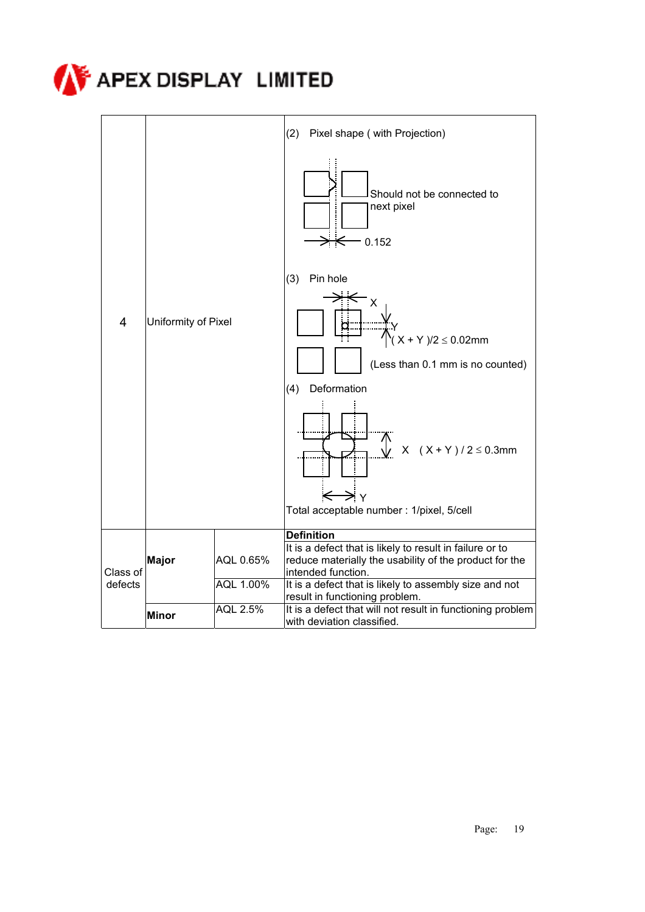

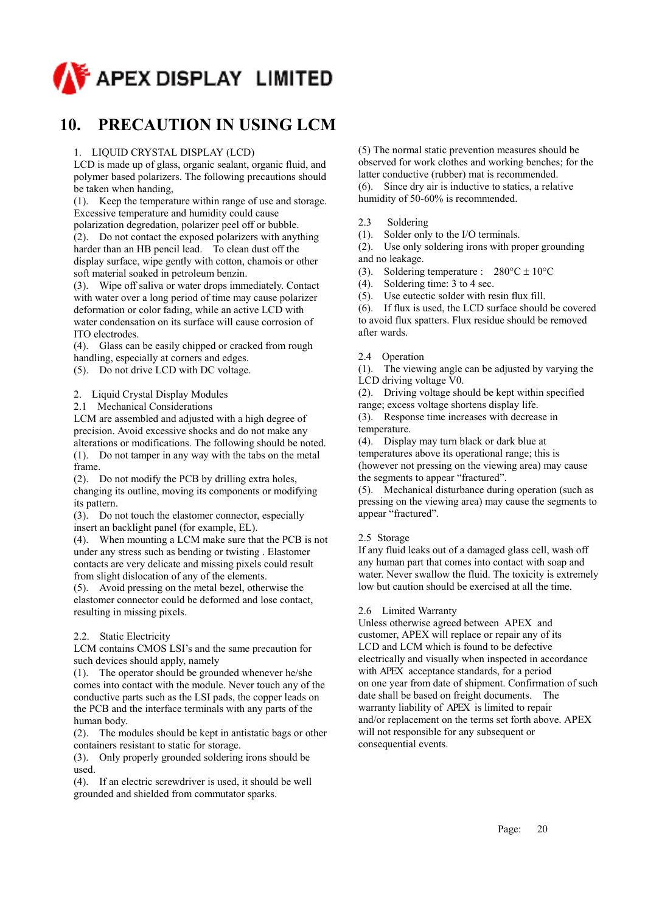

### **10. PRECAUTION IN USING LCM**

#### 1. LIQUID CRYSTAL DISPLAY (LCD)

LCD is made up of glass, organic sealant, organic fluid, and polymer based polarizers. The following precautions should be taken when handing,

(1). Keep the temperature within range of use and storage. Excessive temperature and humidity could cause

polarization degredation, polarizer peel off or bubble.

(2). Do not contact the exposed polarizers with anything harder than an HB pencil lead. To clean dust off the display surface, wipe gently with cotton, chamois or other soft material soaked in petroleum benzin.

(3). Wipe off saliva or water drops immediately. Contact with water over a long period of time may cause polarizer deformation or color fading, while an active LCD with water condensation on its surface will cause corrosion of ITO electrodes.

(4). Glass can be easily chipped or cracked from rough handling, especially at corners and edges.

(5). Do not drive LCD with DC voltage.

2. Liquid Crystal Display Modules

2.1 Mechanical Considerations

LCM are assembled and adjusted with a high degree of precision. Avoid excessive shocks and do not make any alterations or modifications. The following should be noted. (1). Do not tamper in any way with the tabs on the metal frame.

(2). Do not modify the PCB by drilling extra holes, changing its outline, moving its components or modifying its pattern.

(3). Do not touch the elastomer connector, especially insert an backlight panel (for example, EL).

(4). When mounting a LCM make sure that the PCB is not under any stress such as bending or twisting . Elastomer contacts are very delicate and missing pixels could result from slight dislocation of any of the elements.

(5). Avoid pressing on the metal bezel, otherwise the elastomer connector could be deformed and lose contact, resulting in missing pixels.

#### 2.2. Static Electricity

LCM contains CMOS LSI's and the same precaution for such devices should apply, namely

(1). The operator should be grounded whenever he/she comes into contact with the module. Never touch any of the conductive parts such as the LSI pads, the copper leads on the PCB and the interface terminals with any parts of the human body.

(2). The modules should be kept in antistatic bags or other containers resistant to static for storage.

(3). Only properly grounded soldering irons should be used.

(4). If an electric screwdriver is used, it should be well grounded and shielded from commutator sparks.

(5) The normal static prevention measures should be observed for work clothes and working benches; for the latter conductive (rubber) mat is recommended. (6). Since dry air is inductive to statics, a relative humidity of 50-60% is recommended.

2.3 Soldering

(1). Solder only to the I/O terminals.

(2). Use only soldering irons with proper grounding and no leakage.

(3). Soldering temperature :  $280^{\circ}$ C ± 10<sup>o</sup>C

(4). Soldering time: 3 to 4 sec.

(5). Use eutectic solder with resin flux fill.

(6). If flux is used, the LCD surface should be covered to avoid flux spatters. Flux residue should be removed after wards.

#### 2.4 Operation

(1). The viewing angle can be adjusted by varying the LCD driving voltage V0.

(2). Driving voltage should be kept within specified range; excess voltage shortens display life.

(3). Response time increases with decrease in temperature.

(4). Display may turn black or dark blue at temperatures above its operational range; this is (however not pressing on the viewing area) may cause the segments to appear "fractured".

(5). Mechanical disturbance during operation (such as pressing on the viewing area) may cause the segments to appear "fractured".

#### 2.5 Storage

If any fluid leaks out of a damaged glass cell, wash off any human part that comes into contact with soap and water. Never swallow the fluid. The toxicity is extremely low but caution should be exercised at all the time.

#### 2.6 Limited Warranty

Unless otherwise agreed between APEX and customer, APEX will replace or repair any of its LCD and LCM which is found to be defective electrically and visually when inspected in accordance with APEX acceptance standards, for a period on one year from date of shipment. Confirmation of such date shall be based on freight documents. The warranty liability of APEX is limited to repair and/or replacement on the terms set forth above. APEX will not responsible for any subsequent or consequential events.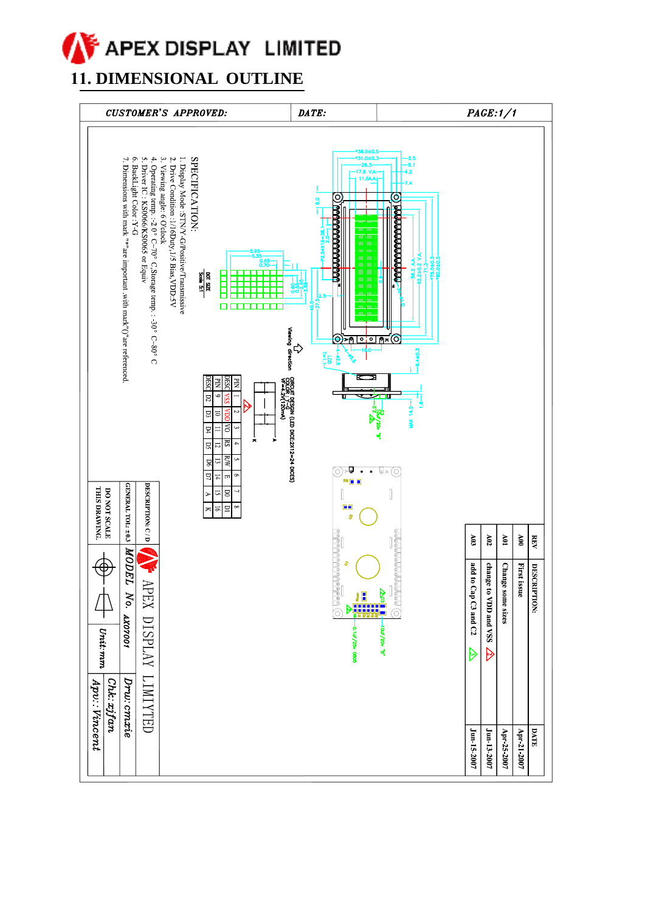